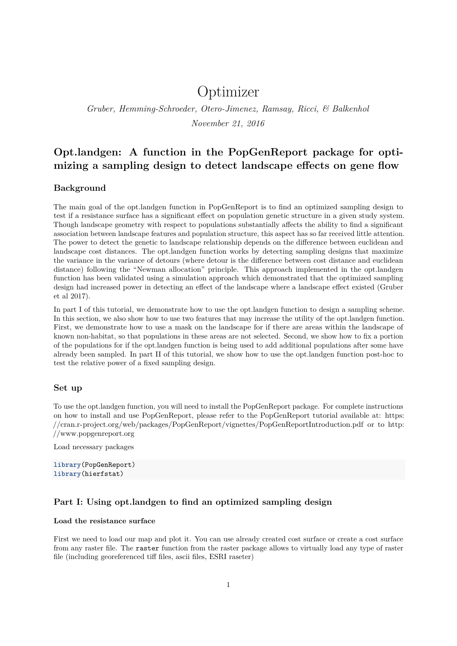# Optimizer

*Gruber, Hemming-Schroeder, Otero-Jimenez, Ramsay, Ricci, & Balkenhol November 21, 2016*

# **Opt.landgen: A function in the PopGenReport package for optimizing a sampling design to detect landscape effects on gene flow**

## **Background**

The main goal of the opt.landgen function in PopGenReport is to find an optimized sampling design to test if a resistance surface has a significant effect on population genetic structure in a given study system. Though landscape geometry with respect to populations substantially affects the ability to find a significant association between landscape features and population structure, this aspect has so far received little attention. The power to detect the genetic to landscape relationship depends on the difference between euclidean and landscape cost distances. The opt.landgen function works by detecting sampling designs that maximize the variance in the variance of detours (where detour is the difference between cost distance and euclidean distance) following the "Newman allocation" principle. This approach implemented in the opt.landgen function has been validated using a simulation approach which demonstrated that the optimized sampling design had increased power in detecting an effect of the landscape where a landscape effect existed (Gruber et al 2017).

In part I of this tutorial, we demonstrate how to use the opt.landgen function to design a sampling scheme. In this section, we also show how to use two features that may increase the utility of the opt.landgen function. First, we demonstrate how to use a mask on the landscape for if there are areas within the landscape of known non-habitat, so that populations in these areas are not selected. Second, we show how to fix a portion of the populations for if the opt.landgen function is being used to add additional populations after some have already been sampled. In part II of this tutorial, we show how to use the opt.landgen function post-hoc to test the relative power of a fixed sampling design.

#### **Set up**

To use the opt.landgen function, you will need to install the PopGenReport package. For complete instructions on how to install and use PopGenReport, please refer to the PopGenReport tutorial available at: https: //cran.r-project.org/web/packages/PopGenReport/vignettes/PopGenReportIntroduction.pdf or to http: //www.popgenreport.org

Load necessary packages

**library**(PopGenReport) **library**(hierfstat)

## **Part I: Using opt.landgen to find an optimized sampling design**

#### **Load the resistance surface**

First we need to load our map and plot it. You can use already created cost surface or create a cost surface from any raster file. The raster function from the raster package allows to virtually load any type of raster file (including georeferenced tiff files, ascii files, ESRI raseter)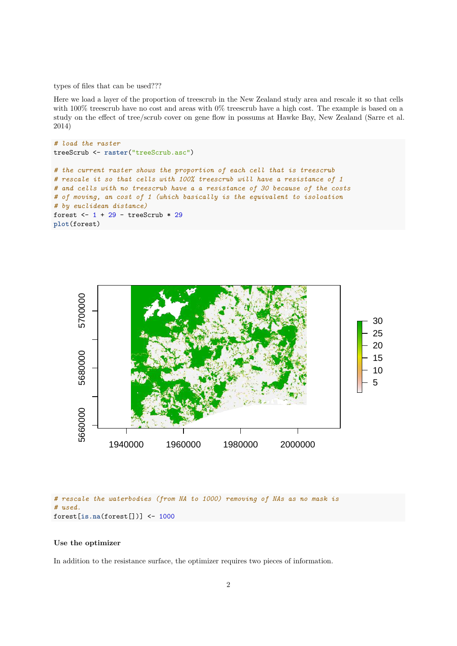types of files that can be used???

Here we load a layer of the proportion of treescrub in the New Zealand study area and rescale it so that cells with 100% treescrub have no cost and areas with 0% treescrub have a high cost. The example is based on a study on the effect of tree/scrub cover on gene flow in possums at Hawke Bay, New Zealand (Sarre et al. 2014)

```
# load the raster
treeScrub <- raster("treeScrub.asc")
# the current raster shows the proportion of each cell that is treescrub
# rescale it so that cells with 100% treescrub will have a resistance of 1
# and cells with no treescrub have a a resistance of 30 because of the costs
# of moving, an cost of 1 (which basically is the equivalent to isoloation
# by euclidean distance)
forest <-1 + 29 -treeScrub * 29plot(forest)
```


#### *# rescale the waterbodies (from NA to 1000) removing of NAs as no mask is # used.* forest[**is.na**(forest[])] <- 1000

#### **Use the optimizer**

In addition to the resistance surface, the optimizer requires two pieces of information.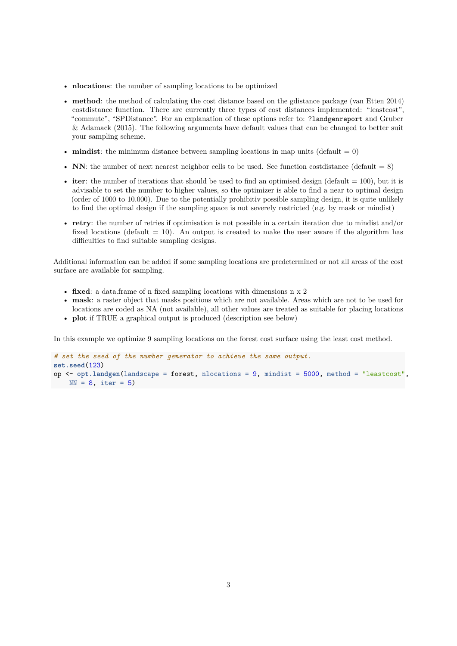- **nlocations**: the number of sampling locations to be optimized
- **method**: the method of calculating the cost distance based on the gdistance package (van Etten 2014) costdistance function. There are currently three types of cost distances implemented: "leastcost", "commute", "SPDistance". For an explanation of these options refer to: ?landgenreport and Gruber & Adamack (2015). The following arguments have default values that can be changed to better suit your sampling scheme.
- **mindist**: the minimum distance between sampling locations in map units (default  $= 0$ )
- **NN**: the number of next nearest neighbor cells to be used. See function costdistance (default  $= 8$ )
- **iter**: the number of iterations that should be used to find an optimised design (default  $= 100$ ), but it is advisable to set the number to higher values, so the optimizer is able to find a near to optimal design (order of 1000 to 10.000). Due to the potentially prohibitiv possible sampling design, it is quite unlikely to find the optimal design if the sampling space is not severely restricted (e.g. by mask or mindist)
- **retry**: the number of retries if optimisation is not possible in a certain iteration due to mindist and/or fixed locations (default  $= 10$ ). An output is created to make the user aware if the algorithm has difficulties to find suitable sampling designs.

Additional information can be added if some sampling locations are predetermined or not all areas of the cost surface are available for sampling.

- **fixed**: a data.frame of n fixed sampling locations with dimensions n x 2
- **mask**: a raster object that masks positions which are not available. Areas which are not to be used for locations are coded as NA (not available), all other values are treated as suitable for placing locations
- **plot** if TRUE a graphical output is produced (description see below)

In this example we optimize 9 sampling locations on the forest cost surface using the least cost method.

```
# set the seed of the number generator to achieve the same output.
set.seed(123)
op <- opt.landgen(landscape = forest, nlocations = 9, mindist = 5000, method = "leastcost",
   NN = 8, iter = 5)
```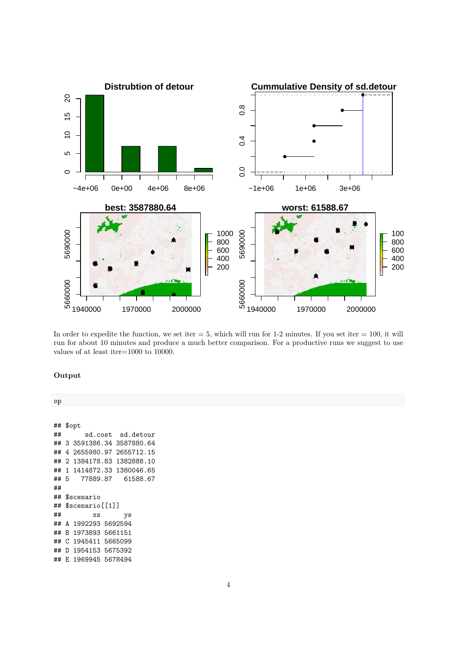

In order to expedite the function, we set iter  $= 5$ , which will run for 1-2 minutes. If you set iter  $= 100$ , it will run for about 10 minutes and produce a much better comparison. For a productive runs we suggest to use values of at least iter=1000 to 10000.

### **Output**

op

## \$opt ## sd.cost sd.detour ## 3 3591386.34 3587880.64 ## 4 2655980.97 2655712.15 ## 2 1384178.83 1382888.10 ## 1 1414872.33 1380046.65 ## 5 77889.87 61588.67 ## ## \$scenario ## \$scenario[[1]] ## xs ys ## A 1992293 5692594 ## B 1973893 5661151 ## C 1945411 5665099 ## D 1954153 5675392 ## E 1969945 5678494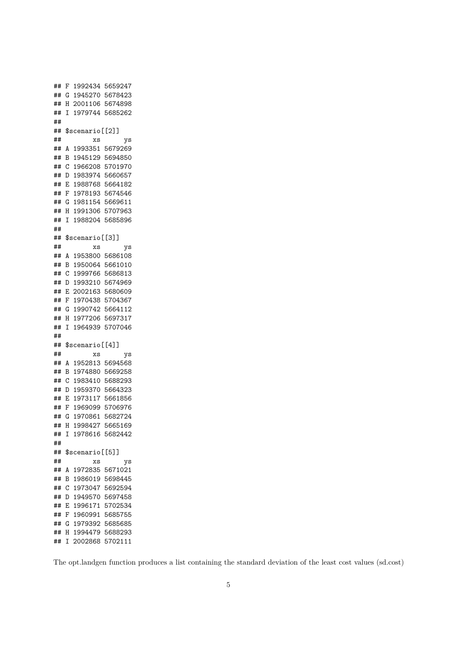```
## F 1992434 5659247
## G 1945270 5678423
## H 2001106 5674898
## I 1979744 5685262
##
## $scenario[[2]]
## xs ys
## A 1993351 5679269
## B 1945129 5694850
## C 1966208 5701970
## D 1983974 5660657
## E 1988768 5664182
## F 1978193 5674546
## G 1981154 5669611
## H 1991306 5707963
## I 1988204 5685896
##
## $scenario[[3]]
## xs ys
## A 1953800 5686108
## B 1950064 5661010
## C 1999766 5686813
## D 1993210 5674969
## E 2002163 5680609
## F 1970438 5704367
## G 1990742 5664112
## H 1977206 5697317
## I 1964939 5707046
##
## $scenario[[4]]
## xs ys
## A 1952813 5694568
## B 1974880 5669258
## C 1983410 5688293
## D 1959370 5664323
## E 1973117 5661856
## F 1969099 5706976
## G 1970861 5682724
## H 1998427 5665169
## I 1978616 5682442
##
## $scenario[[5]]
## xs ys
## A 1972835 5671021
## B 1986019 5698445
## C 1973047 5692594
## D 1949570 5697458
## E 1996171 5702534
## F 1960991 5685755
## G 1979392 5685685
## H 1994479 5688293
## I 2002868 5702111
```
The opt.landgen function produces a list containing the standard deviation of the least cost values (sd.cost)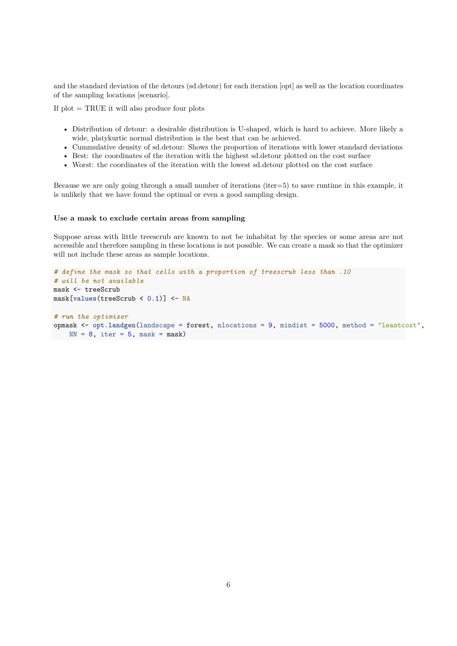and the standard deviation of the detours (sd.detour) for each iteration [opt] as well as the location coordinates of the sampling locations [scenario].

If plot = TRUE it will also produce four plots

- Distribution of detour: a desirable distribution is U-shaped, which is hard to achieve. More likely a wide, platykurtic normal distribution is the best that can be achieved.
- Cummulative density of sd.detour: Shows the proportion of iterations with lower standard deviations
- Best: the coordinates of the iteration with the highest sd.detour plotted on the cost surface
- Worst: the coordinates of the iteration with the lowest sd.detour plotted on the cost surface

Because we are only going through a small number of iterations (iter=5) to save runtime in this example, it is unlikely that we have found the optimal or even a good sampling design.

#### **Use a mask to exclude certain areas from sampling**

Suppose areas with little treescrub are known to not be inhabitat by the species or some areas are not accessible and therefore sampling in these locations is not possible. We can create a mask so that the optimizer will not include these areas as sample locations.

```
# define the mask so that cells with a proportion of treescrub less than .10
# will be not available
mask <- treeScrub
mask[values(treeScrub < 0.1)] <- NA
# run the optimizer
opmask <- opt.landgen(landscape = forest, nlocations = 9, mindist = 5000, method = "leastcost",
   NN = 8, iter = 5, mask = mask)
```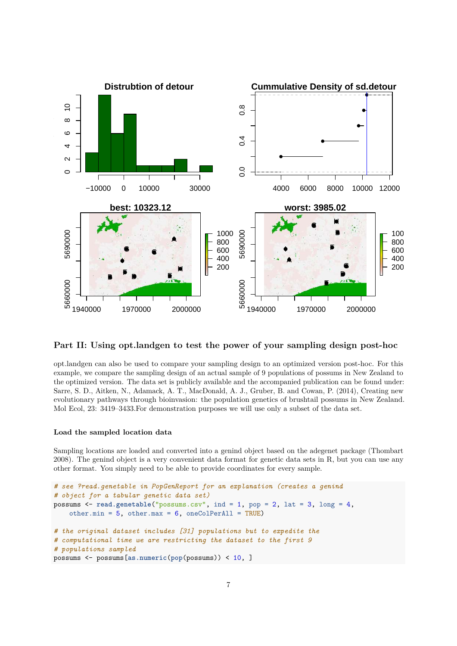

### **Part II: Using opt.landgen to test the power of your sampling design post-hoc**

opt.landgen can also be used to compare your sampling design to an optimized version post-hoc. For this example, we compare the sampling design of an actual sample of 9 populations of possums in New Zealand to the optimized version. The data set is publicly available and the accompanied publication can be found under: Sarre, S. D., Aitken, N., Adamack, A. T., MacDonald, A. J., Gruber, B. and Cowan, P. (2014), Creating new evolutionary pathways through bioinvasion: the population genetics of brushtail possums in New Zealand. Mol Ecol, 23: 3419–3433.For demonstration purposes we will use only a subset of the data set.

#### **Load the sampled location data**

Sampling locations are loaded and converted into a genind object based on the adegenet package (Thombart 2008). The genind object is a very convenient data format for genetic data sets in R, but you can use any other format. You simply need to be able to provide coordinates for every sample.

```
# see ?read.genetable in PopGenReport for an explanation (creates a genind
# object for a tabular genetic data set)
possums <- read.genetable("possums.csv", ind = 1, pop = 2, lat = 3, long = 4,
    other.min = 5, other.max = 6, oneColPerAll = TRUE)
# the original dataset includes [31] populations but to expedite the
# computational time we are restricting the dataset to the first 9
# populations sampled
possums <- possums[as.numeric(pop(possums)) < 10, ]
```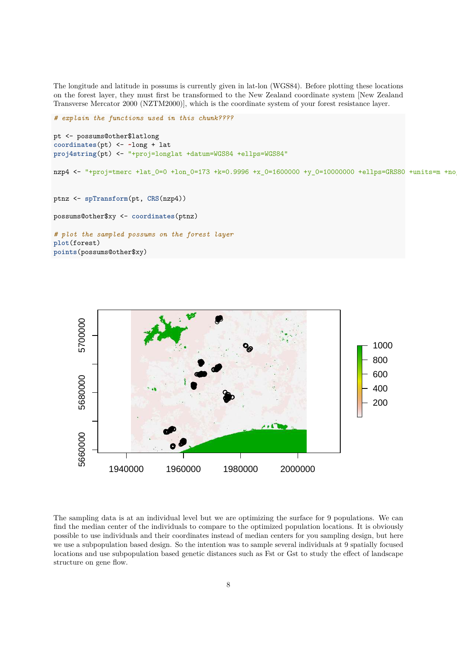The longitude and latitude in possums is currently given in lat-lon (WGS84). Before plotting these locations on the forest layer, they must first be transformed to the New Zealand coordinate system [New Zealand Transverse Mercator 2000 (NZTM2000)], which is the coordinate system of your forest resistance layer.

```
# explain the functions used in this chunk????
pt <- possums@other$latlong
coordinates(pt) <- ~long + lat
proj4string(pt) <- "+proj=longlat +datum=WGS84 +ellps=WGS84"
nzp4 <- "+proj=tmerc +lat_0=0 +lon_0=173 +k=0.9996 +x_0=1600000 +y_0=10000000 +ellps=GRS80 +units=m +no
ptnz <- spTransform(pt, CRS(nzp4))
possums@other$xy <- coordinates(ptnz)
# plot the sampled possums on the forest layer
plot(forest)
points(possums@other$xy)
```


The sampling data is at an individual level but we are optimizing the surface for 9 populations. We can find the median center of the individuals to compare to the optimized population locations. It is obviously possible to use individuals and their coordinates instead of median centers for you sampling design, but here we use a subpopulation based design. So the intention was to sample several individuals at 9 spatially focused locations and use subpopulation based genetic distances such as Fst or Gst to study the effect of landscape structure on gene flow.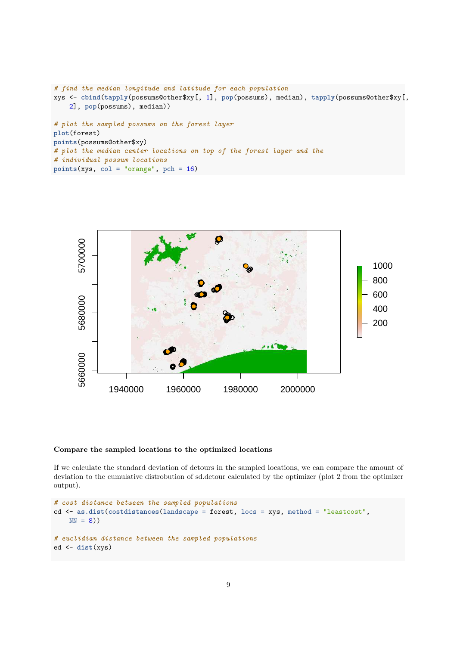```
# find the median longitude and latitude for each population
xys <- cbind(tapply(possums@other$xy[, 1], pop(possums), median), tapply(possums@other$xy[,
    2], pop(possums), median))
# plot the sampled possums on the forest layer
plot(forest)
points(possums@other$xy)
# plot the median center locations on top of the forest layer and the
# individual possum locations
points(xys, col = "orange", pch = 16)
```


#### **Compare the sampled locations to the optimized locations**

If we calculate the standard deviation of detours in the sampled locations, we can compare the amount of deviation to the cumulative distrobution of sd.detour calculated by the optimizer (plot 2 from the optimizer output).

```
# cost distance between the sampled populations
cd <- as.dist(costdistances(landscape = forest, locs = xys, method = "leastcost",
   NN = 8)# euclidian distance between the sampled populations
ed <- dist(xys)
```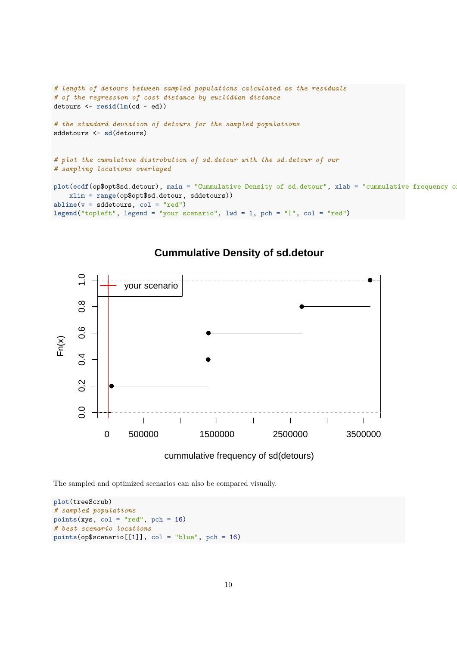```
# length of detours between sampled populations calculated as the residuals
# of the regression of cost distance by euclidian distance
detours <- resid(lm(cd ~ ed))
# the standard deviation of detours for the sampled populations
sddetours <- sd(detours)
# plot the cumulative distrobution of sd.detour with the sd.detour of our
# sampling locations overlayed
plot(ecdf(op$opt$sd.detour), main = "Cummulative Density of sd.detour", xlab = "cummulative frequency of
    xlim = range(op$opt$sd.detour, sddetours))
abline(v = sddetours, col = "red")legend("topleft", legend = "your scenario", lwd = 1, pch = "|", col = "red")
```


# **Cummulative Density of sd.detour**

```
The sampled and optimized scenarios can also be compared visually.
```

```
plot(treeScrub)
# sampled populations
points(xys, col = "red", pch = 16)
# best scenario locations
points(op$scenario[[1]], col = "blue", pch = 16)
```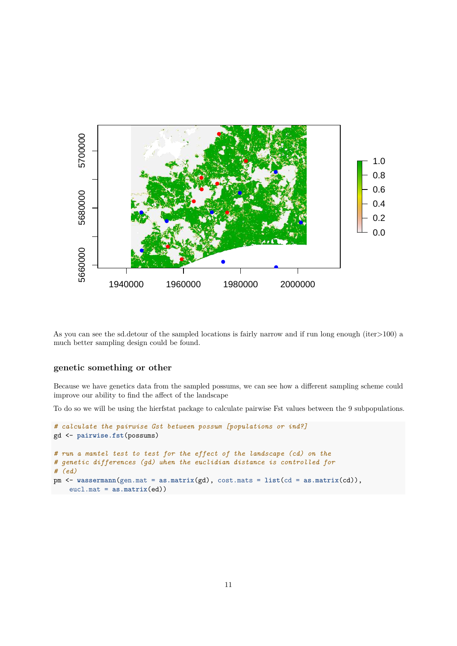

As you can see the sd.detour of the sampled locations is fairly narrow and if run long enough (iter>100) a much better sampling design could be found.

## **genetic something or other**

Because we have genetics data from the sampled possums, we can see how a different sampling scheme could improve our ability to find the affect of the landscape

To do so we will be using the hierfstat package to calculate pairwise Fst values between the 9 subpopulations.

```
# calculate the pairwise Gst between possum [populations or ind?]
gd <- pairwise.fst(possums)
# run a mantel test to test for the effect of the landscape (cd) on the
# genetic differences (gd) when the euclidian distance is controlled for
# (ed)
pm <- wassermann(gen.mat = as.matrix(gd), cost.mats = list(cd = as.matrix(cd)),
    eucl.mat = as.matrix(ed))
```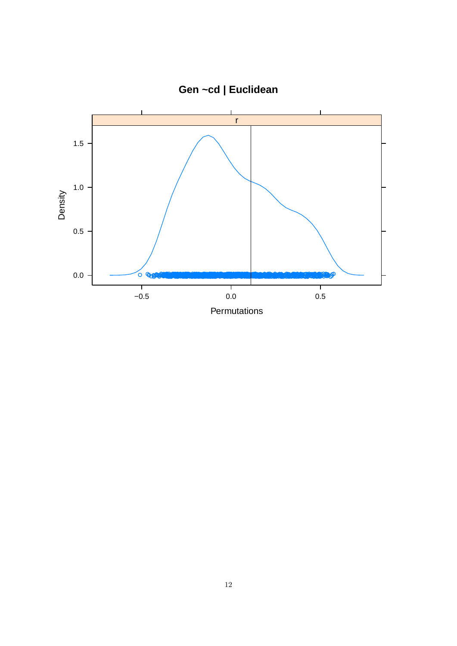

**Gen ~cd | Euclidean**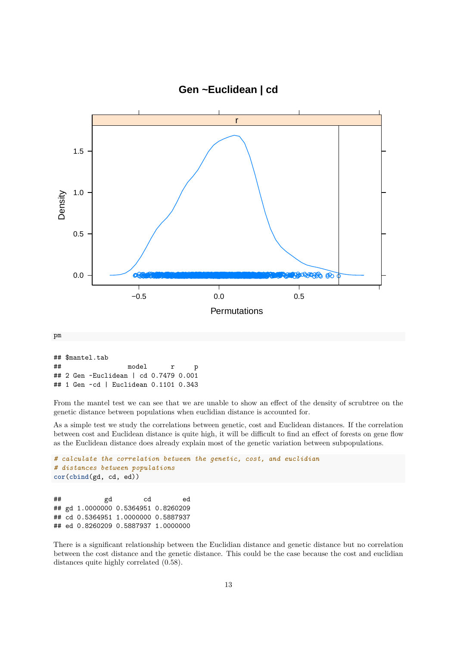

**Gen ~Euclidean | cd**

From the mantel test we can see that we are unable to show an effect of the density of scrubtree on the genetic distance between populations when euclidian distance is accounted for.

As a simple test we study the correlations between genetic, cost and Euclidean distances. If the correlation between cost and Euclidean distance is quite high, it will be difficult to find an effect of forests on gene flow as the Euclidean distance does already explain most of the genetic variation between subpopulations.

```
# calculate the correlation between the genetic, cost, and euclidian
# distances between populations
cor(cbind(gd, cd, ed))
## gd cd ed
## gd 1.0000000 0.5364951 0.8260209
## cd 0.5364951 1.0000000 0.5887937
## ed 0.8260209 0.5887937 1.0000000
```
There is a significant relationship between the Euclidian distance and genetic distance but no correlation between the cost distance and the genetic distance. This could be the case because the cost and euclidian distances quite highly correlated (0.58).